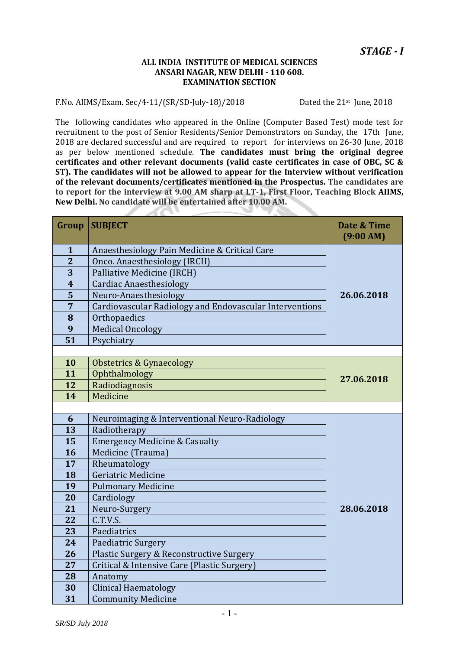#### **ALL INDIA INSTITUTE OF MEDICAL SCIENCES ANSARI NAGAR, NEW DELHI - 110 608. EXAMINATION SECTION**

#### F.No. AIIMS/Exam. Sec/4-11/(SR/SD-July-18)/2018 Dated the 21st June, 2018

**START** 

The following candidates who appeared in the Online (Computer Based Test) mode test for recruitment to the post of Senior Residents/Senior Demonstrators on Sunday, the 17th June, are declared successful and are required to report for interviews on 26-30 June, 2018 as per below mentioned schedule. **The candidates must bring the original degree certificates and other relevant documents (valid caste certificates in case of OBC, SC & ST). The candidates will not be allowed to appear for the Interview without verification of the relevant documents/certificates mentioned in the Prospectus. The candidates are to report for the interview at 9.00 AM sharp at LT-1, First Floor, Teaching Block AIIMS, New Delhi. No candidate will be entertained after 10.00 AM.** 

| Group                   | <b>SUBJECT</b>                                          | Date & Time<br>$(9:00 \text{ AM})$ |
|-------------------------|---------------------------------------------------------|------------------------------------|
| $\mathbf{1}$            | Anaesthesiology Pain Medicine & Critical Care           |                                    |
| $\overline{2}$          | Onco. Anaesthesiology (IRCH)                            |                                    |
| $\overline{3}$          | Palliative Medicine (IRCH)                              |                                    |
| $\overline{\mathbf{4}}$ | <b>Cardiac Anaesthesiology</b>                          |                                    |
| 5                       | Neuro-Anaesthesiology                                   | 26.06.2018                         |
| 7                       | Cardiovascular Radiology and Endovascular Interventions |                                    |
| 8                       | Orthopaedics                                            |                                    |
| 9                       | <b>Medical Oncology</b>                                 |                                    |
| 51                      | Psychiatry                                              |                                    |
|                         |                                                         |                                    |
| 10                      | <b>Obstetrics &amp; Gynaecology</b>                     |                                    |
| 11                      | Ophthalmology                                           | 27.06.2018                         |
| 12                      | Radiodiagnosis                                          |                                    |
| 14                      | Medicine                                                |                                    |
|                         |                                                         |                                    |
| 6                       | Neuroimaging & Interventional Neuro-Radiology           |                                    |
| 13                      | Radiotherapy                                            |                                    |
| 15                      | <b>Emergency Medicine &amp; Casualty</b>                |                                    |
| 16                      | Medicine (Trauma)                                       |                                    |
| 17                      | Rheumatology                                            |                                    |
| 18                      | Geriatric Medicine                                      |                                    |
| 19                      | <b>Pulmonary Medicine</b>                               |                                    |
| 20                      | Cardiology                                              |                                    |
| 21                      | Neuro-Surgery                                           | 28.06.2018                         |
| 22                      | C.T.V.S.                                                |                                    |
| 23                      | Paediatrics                                             |                                    |
| 24                      | Paediatric Surgery                                      |                                    |
| 26                      | Plastic Surgery & Reconstructive Surgery                |                                    |
| 27                      | Critical & Intensive Care (Plastic Surgery)             |                                    |
| 28                      | Anatomy                                                 |                                    |
| 30                      | <b>Clinical Haematology</b>                             |                                    |
| 31                      | <b>Community Medicine</b>                               |                                    |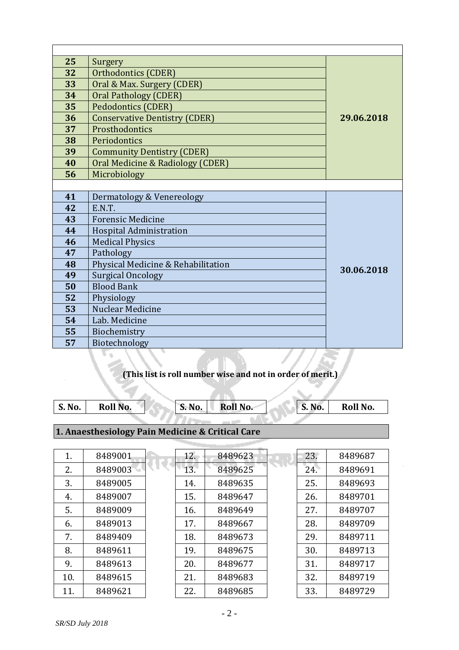| 25 | Surgery                              |            |
|----|--------------------------------------|------------|
| 32 | Orthodontics (CDER)                  |            |
| 33 | Oral & Max. Surgery (CDER)           |            |
| 34 | <b>Oral Pathology (CDER)</b>         |            |
| 35 | <b>Pedodontics (CDER)</b>            |            |
| 36 | <b>Conservative Dentistry (CDER)</b> | 29.06.2018 |
| 37 | Prosthodontics                       |            |
| 38 | Periodontics                         |            |
| 39 | <b>Community Dentistry (CDER)</b>    |            |
| 40 | Oral Medicine & Radiology (CDER)     |            |
| 56 | Microbiology                         |            |
|    |                                      |            |
| 41 | Dermatology & Venereology            |            |
| 42 | E.N.T.                               |            |
| 43 | <b>Forensic Medicine</b>             |            |
| 44 | Hospital Administration              |            |
| 46 | <b>Medical Physics</b>               |            |
| 47 | Pathology                            |            |
| 48 | Physical Medicine & Rehabilitation   | 30.06.2018 |
| 49 | <b>Surgical Oncology</b>             |            |
| 50 | <b>Blood Bank</b>                    |            |
| 52 | Physiology                           |            |
| 53 | <b>Nuclear Medicine</b>              |            |
| 54 | Lab. Medicine                        |            |
| 55 | Biochemistry                         |            |
| 57 | Biotechnology                        |            |

# **(This list is roll number wise and not in order of merit.)**

| <b>S. No.</b> | Roll No. | <b>S. No.</b> | Roll No. | S. No. | Roll No. |
|---------------|----------|---------------|----------|--------|----------|
|               |          |               |          |        |          |

# **1. Anaesthesiology Pain Medicine & Critical Care**

| 8489001 |
|---------|
| 8489003 |
| 8489005 |
| 8489007 |
| 8489009 |
| 8489013 |
| 8489409 |
| 8489611 |
| 8489613 |
| 8489615 |
| 8489621 |
|         |

| 8489623 |
|---------|
| 8489625 |
| 8489635 |
| 8489647 |
| 8489649 |
| 8489667 |
| 8489673 |
| 8489675 |
| 8489677 |
| 8489683 |
| 8489685 |
|         |

| 23. | 8489687 |
|-----|---------|
| 24. | 8489691 |
| 25. | 8489693 |
| 26. | 8489701 |
| 27. | 8489707 |
| 28. | 8489709 |
| 29. | 8489711 |
| 30. | 8489713 |
| 31. | 8489717 |
| 32. | 8489719 |
| 33. | 8489729 |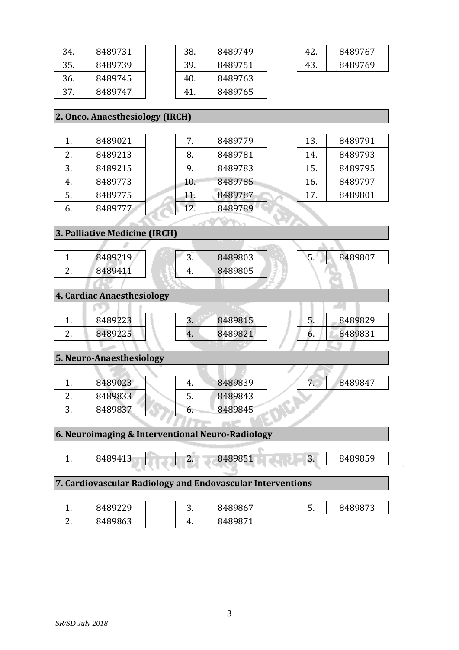| 34. | 8489731 |  |
|-----|---------|--|
| 35. | 8489739 |  |
| 36. | 8489745 |  |
| 37  | 8489747 |  |

| 38. | 8489749 |
|-----|---------|
| 39. | 8489751 |
| 40. | 8489763 |
| 41  | 8489765 |

| 42 | 8489767 |
|----|---------|
| 43 | 8489769 |

# **2. Onco. Anaesthesiology (IRCH)**

| 1  | 8489021 |
|----|---------|
| 2. | 8489213 |
| 3. | 8489215 |
| 4. | 8489773 |
| 5. | 8489775 |
| 6. | 8489777 |

| 7.  | 8489779 |  | 13. | 8489791 |  |
|-----|---------|--|-----|---------|--|
| 8.  | 8489781 |  | 14. | 8489793 |  |
| 9.  | 8489783 |  | 15. | 8489795 |  |
| 10. | 8489785 |  | 16. | 8489797 |  |
| 11. | 8489787 |  | 17. | 8489801 |  |
| 12. | 8489789 |  |     |         |  |
|     |         |  |     |         |  |

**3. Palliative Medicine (IRCH)**

|                            | 8489219 | 3. | 8489803 |  |  | 8489807 |
|----------------------------|---------|----|---------|--|--|---------|
|                            | 8489411 | ч. | 8489805 |  |  |         |
|                            |         |    |         |  |  |         |
| 4. Cardiac Anaesthesiology |         |    |         |  |  |         |
|                            |         |    |         |  |  |         |
|                            |         |    |         |  |  |         |

4. 8489821

**5. Neuro-Anaesthesiology**

2. 8489225

| 8489023 |    | 8489839 |
|---------|----|---------|
| 8489833 | C. | 8489843 |
| 8489837 | h  | 8489845 |

7. 8489847

6. 8489831

# **6. Neuroimaging & Interventional Neuro-Radiology** 1. 8489413 2. 8489851 3. 8489859 **7. Cardiovascular Radiology and Endovascular Interventions**

|               | 8489229 | ⌒<br><u>.</u> | 8489867 | -<br><u>.</u> | 8489873 |
|---------------|---------|---------------|---------|---------------|---------|
| ∽<br><u>.</u> | 8489863 | ட<br>т.       | 8489871 |               |         |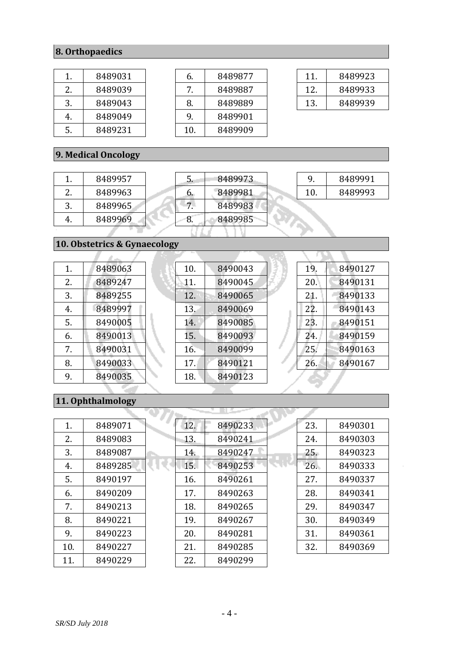# **8. Orthopaedics**

| $\mathbf{1}$ | 8489031 |
|--------------|---------|
| 2.           | 8489039 |
| 3.           | 8489043 |
| 4.           | 8489049 |
| 5.           | 8489231 |

| 6.  | 8489877 |
|-----|---------|
| 7.  | 8489887 |
| 8.  | 8489889 |
| 9.  | 8489901 |
| 10. | 8489909 |
|     |         |

| 11. | 8489923 |
|-----|---------|
| 12. | 8489933 |
| 13. | 8489939 |

# **9. Medical Oncology**

|               | 8489957 |
|---------------|---------|
| $\mathcal{L}$ | 8489963 |
| 3.            | 8489965 |
| 4.            | 8489969 |

| 5. | 8489973 |
|----|---------|
| 6. | 8489981 |
|    | 8489983 |
| 8. | 8489985 |
|    |         |

|    | 8489991 |
|----|---------|
| 10 | 8489993 |

# **10. Obstetrics & Gynaecology**

| 1. | 8489063 |  |
|----|---------|--|
| 2. | 8489247 |  |
| 3. | 8489255 |  |
| 4. | 8489997 |  |
| 5. | 8490005 |  |
| 6. | 8490013 |  |
| 7. | 8490031 |  |
| 8. | 8490033 |  |
| 9. | 8490035 |  |

| 10. | 8490043 |
|-----|---------|
| 11. | 8490045 |
| 12. | 8490065 |
| 13. | 8490069 |
| 14. | 8490085 |
| 15. | 8490093 |
| 16. | 8490099 |
| 17. | 8490121 |
| 18. | 8490123 |
|     |         |

| 19. | 8490127 |
|-----|---------|
| 20. | 8490131 |
| 21. | 8490133 |
| 22. | 8490143 |
| 23. | 8490151 |
| 24. | 8490159 |
| 25. | 8490163 |
| 26. | 8490167 |
|     |         |

# **11. Ophthalmology**

| 1.  | 8489071 |
|-----|---------|
| 2.  | 8489083 |
| 3.  | 8489087 |
| 4.  | 8489285 |
| 5.  | 8490197 |
| 6.  | 8490209 |
| 7.  | 8490213 |
| 8.  | 8490221 |
| 9.  | 8490223 |
| 10. | 8490227 |
| 11. | 8490229 |

| 8490233 |  |
|---------|--|
| 8490241 |  |
| 8490247 |  |
| 8490253 |  |
| 8490261 |  |
| 8490263 |  |
| 8490265 |  |
| 8490267 |  |
| 8490281 |  |
| 8490285 |  |
| 8490299 |  |
|         |  |

| 23. | 8490301 |
|-----|---------|
| 24. | 8490303 |
| 25. | 8490323 |
| 26. | 8490333 |
| 27. | 8490337 |
| 28. | 8490341 |
| 29. | 8490347 |
| 30. | 8490349 |
| 31. | 8490361 |
| 32. | 8490369 |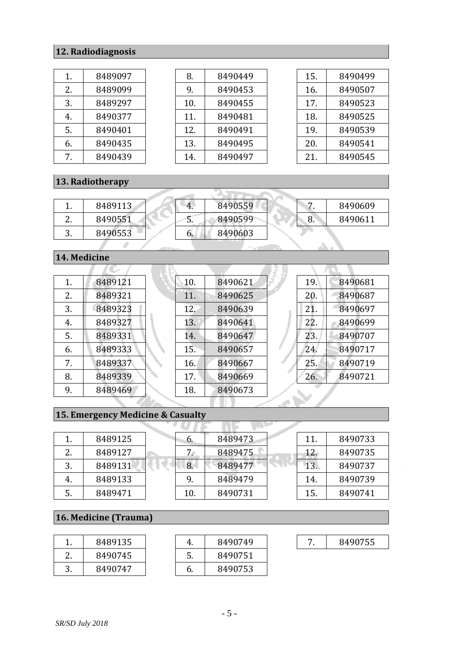# **12. Radiodiagnosis**

| 1. | 8489097 |  |
|----|---------|--|
| 2. | 8489099 |  |
| 3. | 8489297 |  |
| 4. | 8490377 |  |
| 5. | 8490401 |  |
| 6. | 8490435 |  |
| 7  | 8490439 |  |

| 8.  | 8490449 |
|-----|---------|
| 9.  | 8490453 |
| 10. | 8490455 |
| 11. | 8490481 |
| 12. | 8490491 |
| 13. | 8490495 |
| 14. | 8490497 |

| 8490499 |
|---------|
| 8490507 |
| 8490523 |
| 8490525 |
| 8490539 |
| 8490541 |
| 8490545 |
|         |

# **13. Radiotherapy**

|          | 8489113 | 4. | 8490559 |    | 8490609 |
|----------|---------|----|---------|----|---------|
| <u>.</u> | 8490551 | J. | 8490599 | ο. | 8490611 |
| .,       | 8490553 | ь. | 8490603 |    |         |

#### **14. Medicine**

| 1.  | 8489121 |
|-----|---------|
| 2.5 | 8489321 |
| 3.  | 8489323 |
| 4.  | 8489327 |
| 5.  | 8489331 |
| 6.  | 8489333 |
| 7.  | 8489337 |
| 8.  | 8489339 |
| 9.  | 8489469 |

| 10. | 8490621 |
|-----|---------|
| 11. | 8490625 |
| 12. | 8490639 |
| 13. | 8490641 |
| 14. | 8490647 |
| 15. | 8490657 |
| 16. | 8490667 |
| 17. | 8490669 |
| 18. | 8490673 |
|     |         |

| 19. | 8490681 |
|-----|---------|
| 20. | 8490687 |
| 21. | 8490697 |
| 22. | 8490699 |
| 23. | 8490707 |
| 24. | 8490717 |
| 25. | 8490719 |
| 26. | 8490721 |
|     |         |

# **15. Emergency Medicine & Casualty**

|     | 8489125 | b.  | 8489473 | 11. | 8490733 |
|-----|---------|-----|---------|-----|---------|
| ົາ  | 8489127 | 7.  | 8489475 | 12. | 8490735 |
| .,  | 8489131 | 8.  | 8489477 | 13. | 8490737 |
| -4. | 8489133 | 9.  | 8489479 | 14. | 8490739 |
| 5.  | 8489471 | 10. | 8490731 | 15. | 8490741 |

# **16. Medicine (Trauma)**

| 8489135 |
|---------|
| 8490745 |
| 8490747 |

| 4. | 8490749 |
|----|---------|
| 5. | 8490751 |
| 6. | 8490753 |

| 8490755 |
|---------|
|---------|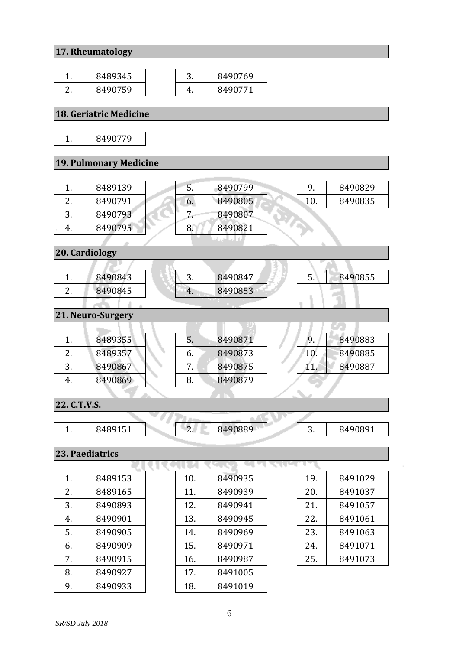# **17. Rheumatology**

| ∽ | 8489345 | ັບ. | 8490769 |
|---|---------|-----|---------|
|   | 8490759 |     | 8490771 |

#### **18. Geriatric Medicine**

1. 8490779

#### **19. Pulmonary Medicine**

|          | 8489139 | .כ | 8490799 |     | 8490829 |
|----------|---------|----|---------|-----|---------|
| <u>.</u> | 8490791 | 6. | 8490805 | 10. | 8490835 |
| υ.       | 8490793 |    | 8490807 |     |         |
| 4.       | 8490795 | 8. | 8490821 |     |         |
|          |         |    |         |     |         |

**20. Cardiology**

|          | 8490843 | ັບ. | 8490847 | ີ | 8490855 |  |
|----------|---------|-----|---------|---|---------|--|
| <u>.</u> | 8490845 | 4.  | 8490853 |   |         |  |
|          |         |     |         |   |         |  |

# **21. Neuro-Surgery**

|          | 8489355 | C. | 8490871 |     | 8490883 |
|----------|---------|----|---------|-----|---------|
| <u>.</u> | 8489357 | o. | 8490873 | 10. | 8490885 |
| .,       | 8490867 |    | 8490875 |     | 8490887 |
| 4.       | 8490869 | 8. | 8490879 |     |         |

गा

ma ma

# **22. C.T.V.S.**

| . . | .00151<br>-94.<br>ᅩᇰᅩ | $\sqrt{2}$ | 8490889 | ∽<br><u>.</u> | $\lambda 49089$ |
|-----|-----------------------|------------|---------|---------------|-----------------|

**COLLECTION** 

रमाध

#### **23. Paediatrics**

| 1. | 8489153 |
|----|---------|
| 2. | 8489165 |
| 3. | 8490893 |
| 4. | 8490901 |
| 5. | 8490905 |
| 6. | 8490909 |
| 7. | 8490915 |
| 8. | 8490927 |
| 9. | 8490933 |

| 10. | 8490935 |
|-----|---------|
| 11. | 8490939 |
| 12. | 8490941 |
| 13. | 8490945 |
| 14. | 8490969 |
| 15. | 8490971 |
| 16. | 8490987 |
| 17. | 8491005 |
| 18. | 8491019 |
|     |         |

| 19. | 8491029 |
|-----|---------|
| 20. | 8491037 |
| 21. | 8491057 |
| 22. | 8491061 |
| 23. | 8491063 |
| 24. | 8491071 |
| 25. | 8491073 |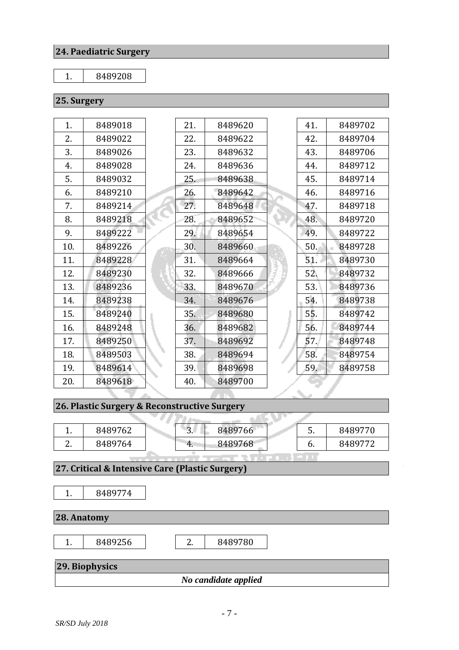#### **24. Paediatric Surgery**

#### 1. 8489208

### **25. Surgery**

| 1.  | 8489018 | 21. | 8489620 | 41. | 8489702 |
|-----|---------|-----|---------|-----|---------|
| 2.  | 8489022 | 22. | 8489622 | 42. | 8489704 |
| 3.  | 8489026 | 23. | 8489632 | 43. | 8489706 |
| 4.  | 8489028 | 24. | 8489636 | 44. | 8489712 |
| 5.  | 8489032 | 25. | 8489638 | 45. | 8489714 |
| 6.  | 8489210 | 26. | 8489642 | 46. | 8489716 |
| 7.  | 8489214 | 27. | 8489648 | 47. | 8489718 |
| 8.  | 8489218 | 28. | 8489652 | 48. | 8489720 |
| 9.  | 8489222 | 29. | 8489654 | 49. | 8489722 |
| 10. | 8489226 | 30. | 8489660 | 50. | 8489728 |
| 11. | 8489228 | 31. | 8489664 | 51. | 8489730 |
| 12. | 8489230 | 32. | 8489666 | 52. | 8489732 |
| 13. | 8489236 | 33. | 8489670 | 53. | 8489736 |
| 14. | 8489238 | 34. | 8489676 | 54. | 8489738 |
| 15. | 8489240 | 35. | 8489680 | 55. | 8489742 |
| 16. | 8489248 | 36. | 8489682 | 56. | 8489744 |
| 17. | 8489250 | 37. | 8489692 | 57. | 8489748 |
| 18. | 8489503 | 38. | 8489694 | 58. | 8489754 |
| 19. | 8489614 | 39. | 8489698 | 59. | 8489758 |
| 20. | 8489618 | 40. | 8489700 |     |         |
|     |         |     |         |     |         |

# **26. Plastic Surgery & Reconstructive Surgery**

| . . | 8489762 | $\sqrt{2}$<br>ັ. | 8489766 | ັ  | 8489770 |
|-----|---------|------------------|---------|----|---------|
|     | 8489764 | 4.               | 8489768 | υ. | 8489772 |

#### **27. Critical & Intensive Care (Plastic Surgery)**

1. 8489774

**28. Anatomy**

1. 8489256 | 2. 8489780

# **29. Biophysics**

*No candidate applied*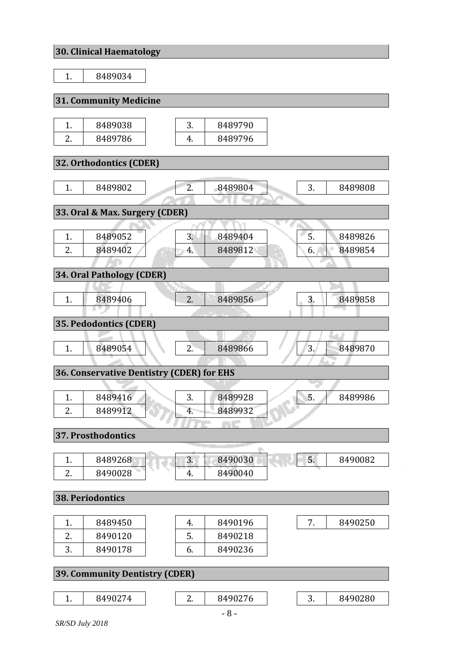# **30. Clinical Haematology**

|    | JU. GIIIIKAI HATIIJAKUUL Y                |    |         |    |         |
|----|-------------------------------------------|----|---------|----|---------|
| 1. | 8489034                                   |    |         |    |         |
|    |                                           |    |         |    |         |
|    | <b>31. Community Medicine</b>             |    |         |    |         |
|    |                                           |    |         |    |         |
| 1. | 8489038                                   | 3. | 8489790 |    |         |
| 2. | 8489786                                   | 4. | 8489796 |    |         |
|    | 32. Orthodontics (CDER)                   |    |         |    |         |
|    |                                           |    |         |    |         |
| 1. | 8489802                                   | 2. | 8489804 | 3. | 8489808 |
|    |                                           |    |         |    |         |
|    | 33. Oral & Max. Surgery (CDER)            |    |         |    |         |
|    |                                           |    |         |    |         |
| 1. | 8489052                                   | 3. | 8489404 | 5. | 8489826 |
| 2. | 8489402                                   | 4. | 8489812 | 6. | 8489854 |
|    |                                           |    |         |    |         |
|    | 34. Oral Pathology (CDER)                 |    |         |    |         |
|    |                                           |    |         |    |         |
| 1. | 8489406                                   | 2. | 8489856 | 3. | 8489858 |
|    |                                           |    |         |    |         |
|    | 35. Pedodontics (CDER)                    |    |         |    |         |
|    |                                           |    |         |    |         |
| 1. | 8489054                                   | 2. | 8489866 | 3. | 8489870 |
|    |                                           |    |         |    |         |
|    | 36. Conservative Dentistry (CDER) for EHS |    |         |    |         |
|    |                                           |    |         | 5. |         |
| 1. | 8489416                                   | 3. | 8489928 |    | 8489986 |
| 2. | 8489912                                   | 4. | 8489932 |    |         |
|    | 37. Prosthodontics                        |    |         |    |         |
|    |                                           |    |         |    |         |
| 1. | 8489268                                   | 3. | 8490030 | 5. | 8490082 |
| 2. | 8490028                                   | 4. | 8490040 |    |         |
|    |                                           |    |         |    |         |
|    | <b>38. Periodontics</b>                   |    |         |    |         |
|    |                                           |    |         |    |         |
| 1. | 8489450                                   | 4. | 8490196 | 7. | 8490250 |
| 2. | 8490120                                   | 5. | 8490218 |    |         |
| 3. | 8490178                                   | 6. | 8490236 |    |         |
|    |                                           |    |         |    |         |
|    | <b>39. Community Dentistry (CDER)</b>     |    |         |    |         |
|    |                                           |    |         |    |         |
| 1. | 8490274                                   | 2. | 8490276 | 3. | 8490280 |

*SR/SD July 2018*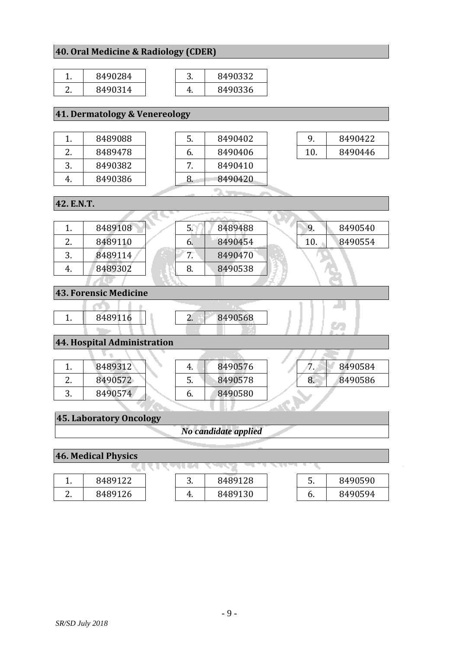#### **40. Oral Medicine & Radiology (CDER)**

| 8490284 | ຸບ. | 8490332 |
|---------|-----|---------|
| 8490314 |     | 8490336 |

### **41. Dermatology & Venereology**

|               | 8489088 |
|---------------|---------|
| $\mathcal{Z}$ | 8489478 |
| 3             | 8490382 |
|               | 8490386 |

| 5. | 8490402 |
|----|---------|
| 6. | 8490406 |
| 7  | 8490410 |
| 8. | 8490420 |

|    | 8490422 |
|----|---------|
| 10 | 8490446 |
|    |         |

41

C.

| 42. E.N.T. |         |    |  |         |  |     |         |
|------------|---------|----|--|---------|--|-----|---------|
|            |         |    |  |         |  |     |         |
| 1.         | 8489108 |    |  | 8489488 |  | У.  | 8490540 |
| 2.         | 8489110 | b. |  | 8490454 |  | 10. | 8490554 |
| 3.         | 8489114 | 7. |  | 8490470 |  |     |         |
| 4.         | 8489302 | 8. |  | 8490538 |  |     |         |
|            |         |    |  |         |  |     |         |

#### **43. Forensic Medicine**

| 8489116 |  | 8490568 |
|---------|--|---------|
|         |  |         |

# **44. Hospital Administration**

|          | 8489312 | 4. | 8490576 | . . | 8490584 |
|----------|---------|----|---------|-----|---------|
| <u>.</u> | 8490572 | J. | 8490578 | 8.  | 8490586 |
| J.       | 8490574 | b. | 8490580 |     |         |
|          |         |    |         |     |         |

#### **45. Laboratory Oncology**

*No candidate applied*

#### **46. Medical Physics**

| . .           | 8489122 | ⌒<br>J. | 8489128 | ຸ, | 8490590 |
|---------------|---------|---------|---------|----|---------|
| ◠<br><u>.</u> | 8489126 | ч.      | 8489130 | υ. | 8490594 |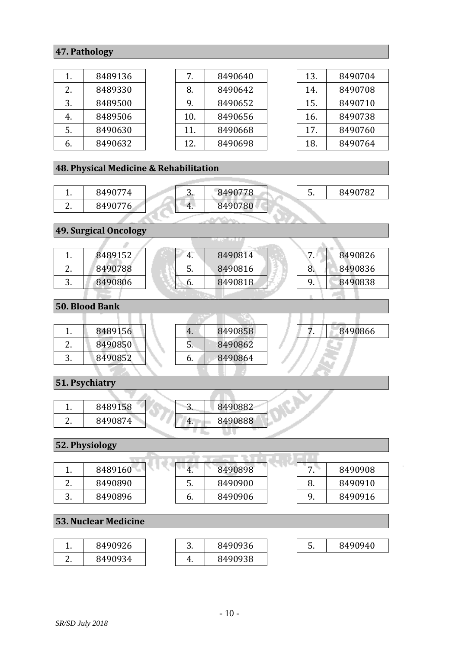#### **47. Pathology**

| 1. | 8489136 |
|----|---------|
| 2. | 8489330 |
| 3. | 8489500 |
| 4. | 8489506 |
| 5. | 8490630 |
| 6. | 8490632 |

| 7.  | 8490640 |
|-----|---------|
| 8.  | 8490642 |
| 9.  | 8490652 |
| 10. | 8490656 |
| 11. | 8490668 |
| 12. | 8490698 |
|     |         |

| 13. | 8490704 |
|-----|---------|
| 14. | 8490708 |
| 15. | 8490710 |
| 16. | 8490738 |
| 17. | 8490760 |
| 18. | 8490764 |

#### **48. Physical Medicine & Rehabilitation**

| . .      | 8490774 | ີ  | 8490778 | ຸບ. | 8490782 |
|----------|---------|----|---------|-----|---------|
| <u>.</u> | 8490776 | 4. | 8490780 |     |         |
|          |         |    |         |     |         |

**49. Surgical Oncology**

| . .      | 8489152 | 4. | 8490814 | $\overline{ }$ | 8490826 |
|----------|---------|----|---------|----------------|---------|
| <u>.</u> | 8490788 | Ⴢ. | 8490816 | ο.             | 8490836 |
| .,       | 8490806 | b. | 8490818 |                | 8490838 |
|          |         |    |         |                |         |

**50. Blood Bank**

|          | 8489156 | 4. | 8490858 | 8490866 |
|----------|---------|----|---------|---------|
| <u>.</u> | 8490850 | ວ. | 8490862 |         |
|          | 8490852 | b. | 8490864 |         |
|          |         |    |         |         |

#### **51. Psychiatry**

| <b></b> | 8489158 | ື  | 8490882 |
|---------|---------|----|---------|
| ,.      | 8490874 | 4. | 8490888 |

#### **52. Physiology**

| . .      | 8489160 | `4. | 8490898 | –  | 8490908 |
|----------|---------|-----|---------|----|---------|
| <u>.</u> | 8490890 | 5.  | 8490900 | v. | 8490910 |
| ັ.       | 8490896 | o.  | 8490906 |    | 8490916 |

### **53. Nuclear Medicine**

| <b>.</b> | 8490926 | ∽<br>ັ. | 8490936 | ້. | 8490940 |
|----------|---------|---------|---------|----|---------|
| <u>.</u> | 8490934 | ч.      | 8490938 |    |         |